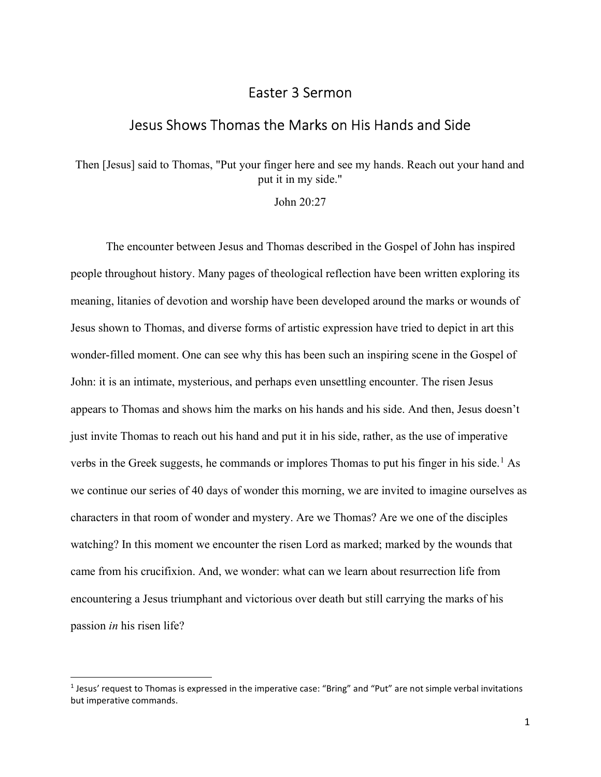## Easter 3 Sermon

## Jesus Shows Thomas the Marks on His Hands and Side

Then [Jesus] said to Thomas, "Put your finger here and see my hands. Reach out your hand and put it in my side."

John 20:27

The encounter between Jesus and Thomas described in the Gospel of John has inspired people throughout history. Many pages of theological reflection have been written exploring its meaning, litanies of devotion and worship have been developed around the marks or wounds of Jesus shown to Thomas, and diverse forms of artistic expression have tried to depict in art this wonder-filled moment. One can see why this has been such an inspiring scene in the Gospel of John: it is an intimate, mysterious, and perhaps even unsettling encounter. The risen Jesus appears to Thomas and shows him the marks on his hands and his side. And then, Jesus doesn't just invite Thomas to reach out his hand and put it in his side, rather, as the use of imperative verbs in the Greek suggests, he commands or implores Thomas to put his finger in his side.<sup>1</sup> As we continue our series of 40 days of wonder this morning, we are invited to imagine ourselves as characters in that room of wonder and mystery. Are we Thomas? Are we one of the disciples watching? In this moment we encounter the risen Lord as marked; marked by the wounds that came from his crucifixion. And, we wonder: what can we learn about resurrection life from encountering a Jesus triumphant and victorious over death but still carrying the marks of his passion in his risen life?

<sup>&</sup>lt;sup>1</sup> Jesus' request to Thomas is expressed in the imperative case: "Bring" and "Put" are not simple verbal invitations but imperative commands.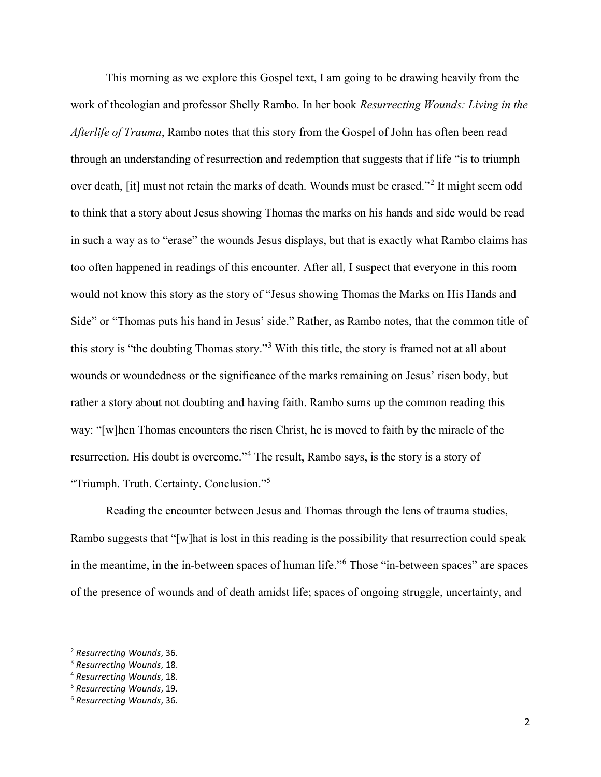This morning as we explore this Gospel text, I am going to be drawing heavily from the work of theologian and professor Shelly Rambo. In her book Resurrecting Wounds: Living in the Afterlife of Trauma, Rambo notes that this story from the Gospel of John has often been read through an understanding of resurrection and redemption that suggests that if life "is to triumph over death, [it] must not retain the marks of death. Wounds must be erased."<sup>2</sup> It might seem odd to think that a story about Jesus showing Thomas the marks on his hands and side would be read in such a way as to "erase" the wounds Jesus displays, but that is exactly what Rambo claims has too often happened in readings of this encounter. After all, I suspect that everyone in this room would not know this story as the story of "Jesus showing Thomas the Marks on His Hands and Side" or "Thomas puts his hand in Jesus' side." Rather, as Rambo notes, that the common title of this story is "the doubting Thomas story."<sup>3</sup> With this title, the story is framed not at all about wounds or woundedness or the significance of the marks remaining on Jesus' risen body, but rather a story about not doubting and having faith. Rambo sums up the common reading this way: "[w]hen Thomas encounters the risen Christ, he is moved to faith by the miracle of the resurrection. His doubt is overcome."<sup>4</sup> The result, Rambo says, is the story is a story of "Triumph. Truth. Certainty. Conclusion."<sup>5</sup>

Reading the encounter between Jesus and Thomas through the lens of trauma studies, Rambo suggests that "[w]hat is lost in this reading is the possibility that resurrection could speak in the meantime, in the in-between spaces of human life."<sup>6</sup> Those "in-between spaces" are spaces of the presence of wounds and of death amidst life; spaces of ongoing struggle, uncertainty, and

<sup>2</sup> Resurrecting Wounds, 36.

<sup>3</sup> Resurrecting Wounds, 18.

<sup>4</sup> Resurrecting Wounds, 18.

<sup>5</sup> Resurrecting Wounds, 19.

<sup>6</sup> Resurrecting Wounds, 36.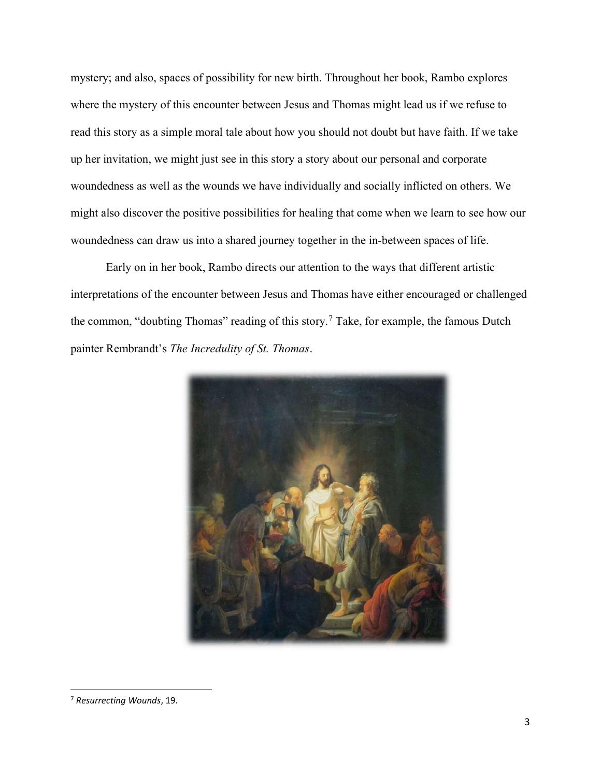mystery; and also, spaces of possibility for new birth. Throughout her book, Rambo explores where the mystery of this encounter between Jesus and Thomas might lead us if we refuse to read this story as a simple moral tale about how you should not doubt but have faith. If we take up her invitation, we might just see in this story a story about our personal and corporate woundedness as well as the wounds we have individually and socially inflicted on others. We might also discover the positive possibilities for healing that come when we learn to see how our woundedness can draw us into a shared journey together in the in-between spaces of life.

Early on in her book, Rambo directs our attention to the ways that different artistic interpretations of the encounter between Jesus and Thomas have either encouraged or challenged the common, "doubting Thomas" reading of this story.<sup>7</sup> Take, for example, the famous Dutch painter Rembrandt's The Incredulity of St. Thomas.



<sup>7</sup> Resurrecting Wounds, 19.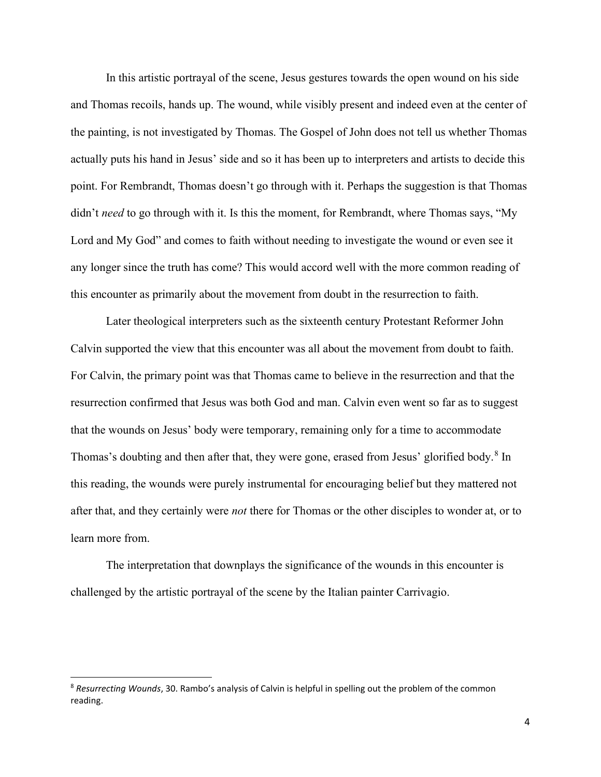In this artistic portrayal of the scene, Jesus gestures towards the open wound on his side and Thomas recoils, hands up. The wound, while visibly present and indeed even at the center of the painting, is not investigated by Thomas. The Gospel of John does not tell us whether Thomas actually puts his hand in Jesus' side and so it has been up to interpreters and artists to decide this point. For Rembrandt, Thomas doesn't go through with it. Perhaps the suggestion is that Thomas didn't *need* to go through with it. Is this the moment, for Rembrandt, where Thomas says, "My Lord and My God" and comes to faith without needing to investigate the wound or even see it any longer since the truth has come? This would accord well with the more common reading of this encounter as primarily about the movement from doubt in the resurrection to faith.

Later theological interpreters such as the sixteenth century Protestant Reformer John Calvin supported the view that this encounter was all about the movement from doubt to faith. For Calvin, the primary point was that Thomas came to believe in the resurrection and that the resurrection confirmed that Jesus was both God and man. Calvin even went so far as to suggest that the wounds on Jesus' body were temporary, remaining only for a time to accommodate Thomas's doubting and then after that, they were gone, erased from Jesus' glorified body.<sup>8</sup> In this reading, the wounds were purely instrumental for encouraging belief but they mattered not after that, and they certainly were *not* there for Thomas or the other disciples to wonder at, or to learn more from.

The interpretation that downplays the significance of the wounds in this encounter is challenged by the artistic portrayal of the scene by the Italian painter Carrivagio.

<sup>&</sup>lt;sup>8</sup> Resurrecting Wounds, 30. Rambo's analysis of Calvin is helpful in spelling out the problem of the common reading.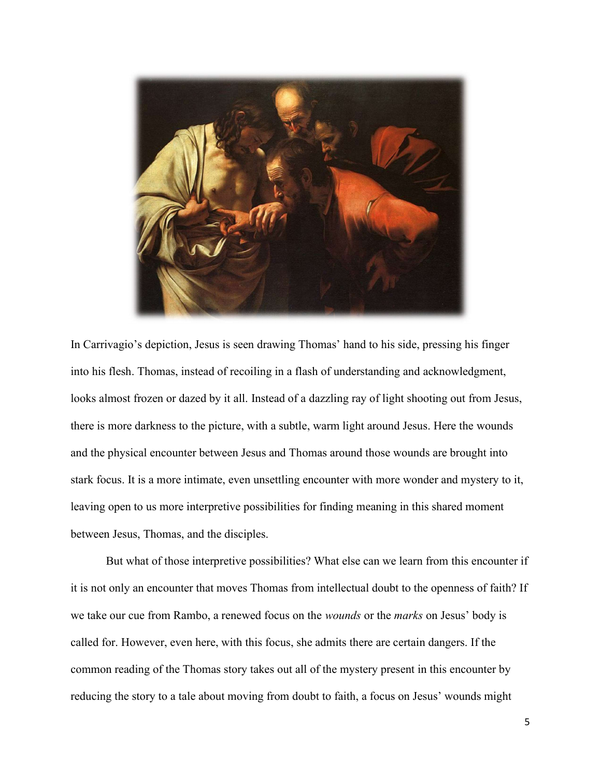

In Carrivagio's depiction, Jesus is seen drawing Thomas' hand to his side, pressing his finger into his flesh. Thomas, instead of recoiling in a flash of understanding and acknowledgment, looks almost frozen or dazed by it all. Instead of a dazzling ray of light shooting out from Jesus, there is more darkness to the picture, with a subtle, warm light around Jesus. Here the wounds and the physical encounter between Jesus and Thomas around those wounds are brought into stark focus. It is a more intimate, even unsettling encounter with more wonder and mystery to it, leaving open to us more interpretive possibilities for finding meaning in this shared moment between Jesus, Thomas, and the disciples.

But what of those interpretive possibilities? What else can we learn from this encounter if it is not only an encounter that moves Thomas from intellectual doubt to the openness of faith? If we take our cue from Rambo, a renewed focus on the *wounds* or the *marks* on Jesus' body is called for. However, even here, with this focus, she admits there are certain dangers. If the common reading of the Thomas story takes out all of the mystery present in this encounter by reducing the story to a tale about moving from doubt to faith, a focus on Jesus' wounds might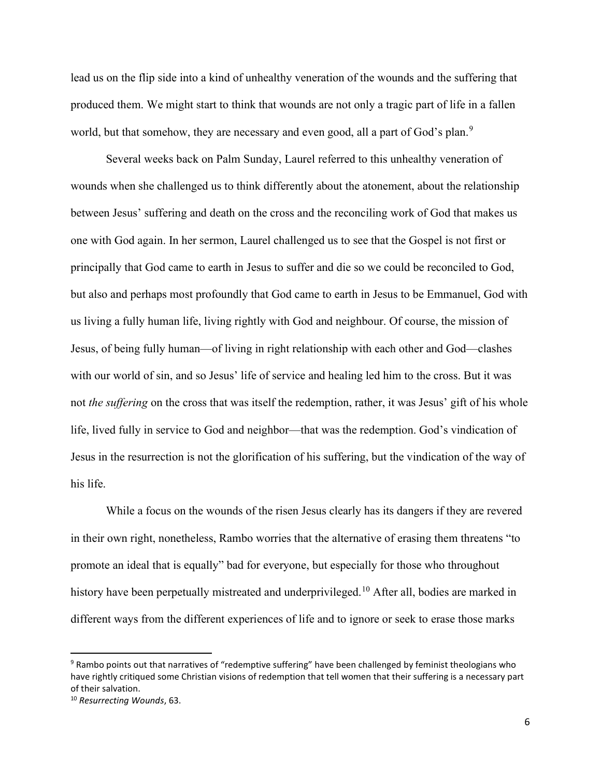lead us on the flip side into a kind of unhealthy veneration of the wounds and the suffering that produced them. We might start to think that wounds are not only a tragic part of life in a fallen world, but that somehow, they are necessary and even good, all a part of God's plan.<sup>9</sup>

Several weeks back on Palm Sunday, Laurel referred to this unhealthy veneration of wounds when she challenged us to think differently about the atonement, about the relationship between Jesus' suffering and death on the cross and the reconciling work of God that makes us one with God again. In her sermon, Laurel challenged us to see that the Gospel is not first or principally that God came to earth in Jesus to suffer and die so we could be reconciled to God, but also and perhaps most profoundly that God came to earth in Jesus to be Emmanuel, God with us living a fully human life, living rightly with God and neighbour. Of course, the mission of Jesus, of being fully human—of living in right relationship with each other and God—clashes with our world of sin, and so Jesus' life of service and healing led him to the cross. But it was not the suffering on the cross that was itself the redemption, rather, it was Jesus' gift of his whole life, lived fully in service to God and neighbor—that was the redemption. God's vindication of Jesus in the resurrection is not the glorification of his suffering, but the vindication of the way of his life.

While a focus on the wounds of the risen Jesus clearly has its dangers if they are revered in their own right, nonetheless, Rambo worries that the alternative of erasing them threatens "to promote an ideal that is equally" bad for everyone, but especially for those who throughout history have been perpetually mistreated and underprivileged.<sup>10</sup> After all, bodies are marked in different ways from the different experiences of life and to ignore or seek to erase those marks

<sup>&</sup>lt;sup>9</sup> Rambo points out that narratives of "redemptive suffering" have been challenged by feminist theologians who have rightly critiqued some Christian visions of redemption that tell women that their suffering is a necessary part of their salvation.

<sup>10</sup> Resurrecting Wounds, 63.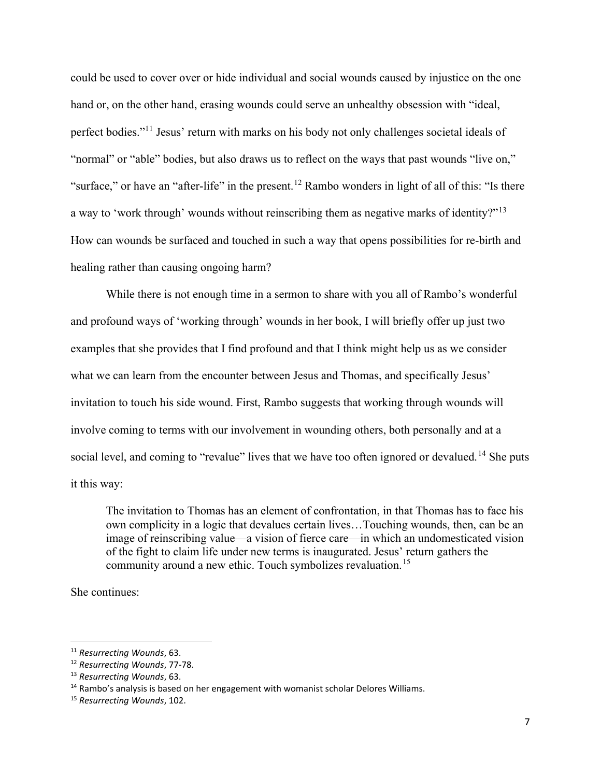could be used to cover over or hide individual and social wounds caused by injustice on the one hand or, on the other hand, erasing wounds could serve an unhealthy obsession with "ideal, perfect bodies."<sup>11</sup> Jesus' return with marks on his body not only challenges societal ideals of "normal" or "able" bodies, but also draws us to reflect on the ways that past wounds "live on," "surface," or have an "after-life" in the present.<sup>12</sup> Rambo wonders in light of all of this: "Is there a way to 'work through' wounds without reinscribing them as negative marks of identity?"<sup>13</sup> How can wounds be surfaced and touched in such a way that opens possibilities for re-birth and healing rather than causing ongoing harm?

While there is not enough time in a sermon to share with you all of Rambo's wonderful and profound ways of 'working through' wounds in her book, I will briefly offer up just two examples that she provides that I find profound and that I think might help us as we consider what we can learn from the encounter between Jesus and Thomas, and specifically Jesus' invitation to touch his side wound. First, Rambo suggests that working through wounds will involve coming to terms with our involvement in wounding others, both personally and at a social level, and coming to "revalue" lives that we have too often ignored or devalued.<sup>14</sup> She puts it this way:

The invitation to Thomas has an element of confrontation, in that Thomas has to face his own complicity in a logic that devalues certain lives…Touching wounds, then, can be an image of reinscribing value—a vision of fierce care—in which an undomesticated vision of the fight to claim life under new terms is inaugurated. Jesus' return gathers the community around a new ethic. Touch symbolizes revaluation.<sup>15</sup>

She continues:

<sup>&</sup>lt;sup>11</sup> Resurrecting Wounds, 63.

<sup>&</sup>lt;sup>12</sup> Resurrecting Wounds, 77-78.

<sup>13</sup> Resurrecting Wounds, 63.

 $14$  Rambo's analysis is based on her engagement with womanist scholar Delores Williams.

<sup>&</sup>lt;sup>15</sup> Resurrecting Wounds, 102.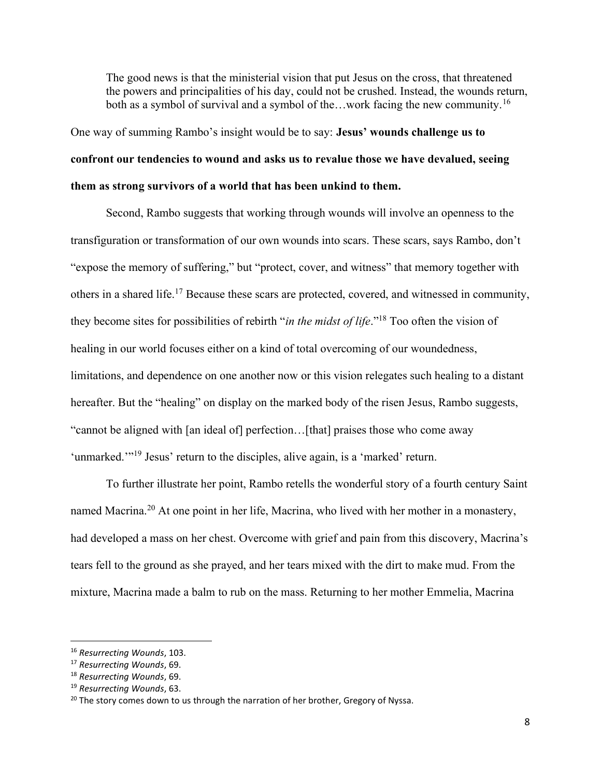The good news is that the ministerial vision that put Jesus on the cross, that threatened the powers and principalities of his day, could not be crushed. Instead, the wounds return, both as a symbol of survival and a symbol of the...work facing the new community.<sup>16</sup>

One way of summing Rambo's insight would be to say: Jesus' wounds challenge us to confront our tendencies to wound and asks us to revalue those we have devalued, seeing them as strong survivors of a world that has been unkind to them.

Second, Rambo suggests that working through wounds will involve an openness to the transfiguration or transformation of our own wounds into scars. These scars, says Rambo, don't "expose the memory of suffering," but "protect, cover, and witness" that memory together with others in a shared life.<sup>17</sup> Because these scars are protected, covered, and witnessed in community, they become sites for possibilities of rebirth "*in the midst of life*."<sup>18</sup> Too often the vision of healing in our world focuses either on a kind of total overcoming of our woundedness, limitations, and dependence on one another now or this vision relegates such healing to a distant hereafter. But the "healing" on display on the marked body of the risen Jesus, Rambo suggests, "cannot be aligned with [an ideal of] perfection…[that] praises those who come away 'unmarked.'"<sup>19</sup> Jesus' return to the disciples, alive again, is a 'marked' return.

To further illustrate her point, Rambo retells the wonderful story of a fourth century Saint named Macrina.<sup>20</sup> At one point in her life, Macrina, who lived with her mother in a monastery, had developed a mass on her chest. Overcome with grief and pain from this discovery, Macrina's tears fell to the ground as she prayed, and her tears mixed with the dirt to make mud. From the mixture, Macrina made a balm to rub on the mass. Returning to her mother Emmelia, Macrina

<sup>&</sup>lt;sup>16</sup> Resurrecting Wounds, 103.

<sup>&</sup>lt;sup>17</sup> Resurrecting Wounds, 69.

<sup>&</sup>lt;sup>18</sup> Resurrecting Wounds, 69.

<sup>&</sup>lt;sup>19</sup> Resurrecting Wounds, 63.

<sup>&</sup>lt;sup>20</sup> The story comes down to us through the narration of her brother, Gregory of Nyssa.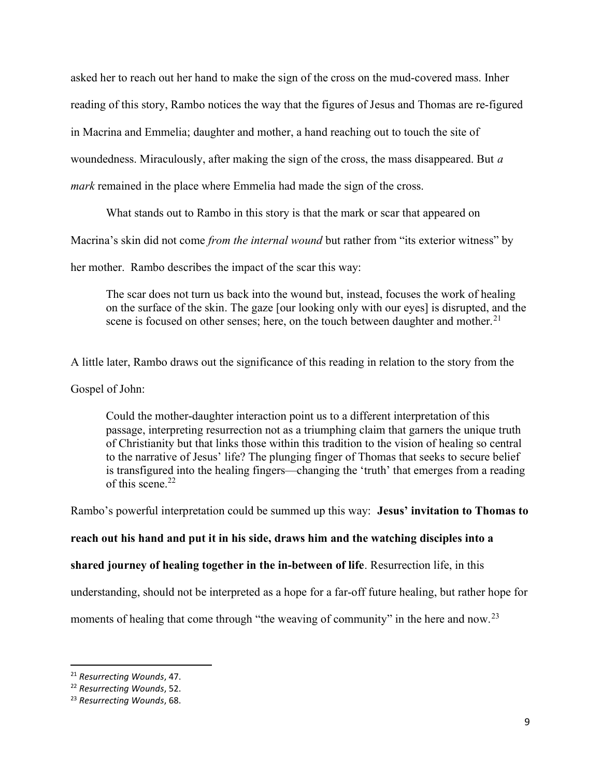asked her to reach out her hand to make the sign of the cross on the mud-covered mass. Inher reading of this story, Rambo notices the way that the figures of Jesus and Thomas are re-figured in Macrina and Emmelia; daughter and mother, a hand reaching out to touch the site of woundedness. Miraculously, after making the sign of the cross, the mass disappeared. But a mark remained in the place where Emmelia had made the sign of the cross.

What stands out to Rambo in this story is that the mark or scar that appeared on

Macrina's skin did not come *from the internal wound* but rather from "its exterior witness" by

her mother. Rambo describes the impact of the scar this way:

The scar does not turn us back into the wound but, instead, focuses the work of healing on the surface of the skin. The gaze [our looking only with our eyes] is disrupted, and the scene is focused on other senses; here, on the touch between daughter and mother.<sup>21</sup>

A little later, Rambo draws out the significance of this reading in relation to the story from the

Gospel of John:

Could the mother-daughter interaction point us to a different interpretation of this passage, interpreting resurrection not as a triumphing claim that garners the unique truth of Christianity but that links those within this tradition to the vision of healing so central to the narrative of Jesus' life? The plunging finger of Thomas that seeks to secure belief is transfigured into the healing fingers—changing the 'truth' that emerges from a reading of this scene. $22$ 

Rambo's powerful interpretation could be summed up this way: Jesus' invitation to Thomas to

reach out his hand and put it in his side, draws him and the watching disciples into a

shared journey of healing together in the in-between of life. Resurrection life, in this

understanding, should not be interpreted as a hope for a far-off future healing, but rather hope for

moments of healing that come through "the weaving of community" in the here and now.<sup>23</sup>

<sup>21</sup> Resurrecting Wounds, 47.

<sup>22</sup> Resurrecting Wounds, 52.

<sup>&</sup>lt;sup>23</sup> Resurrecting Wounds, 68.